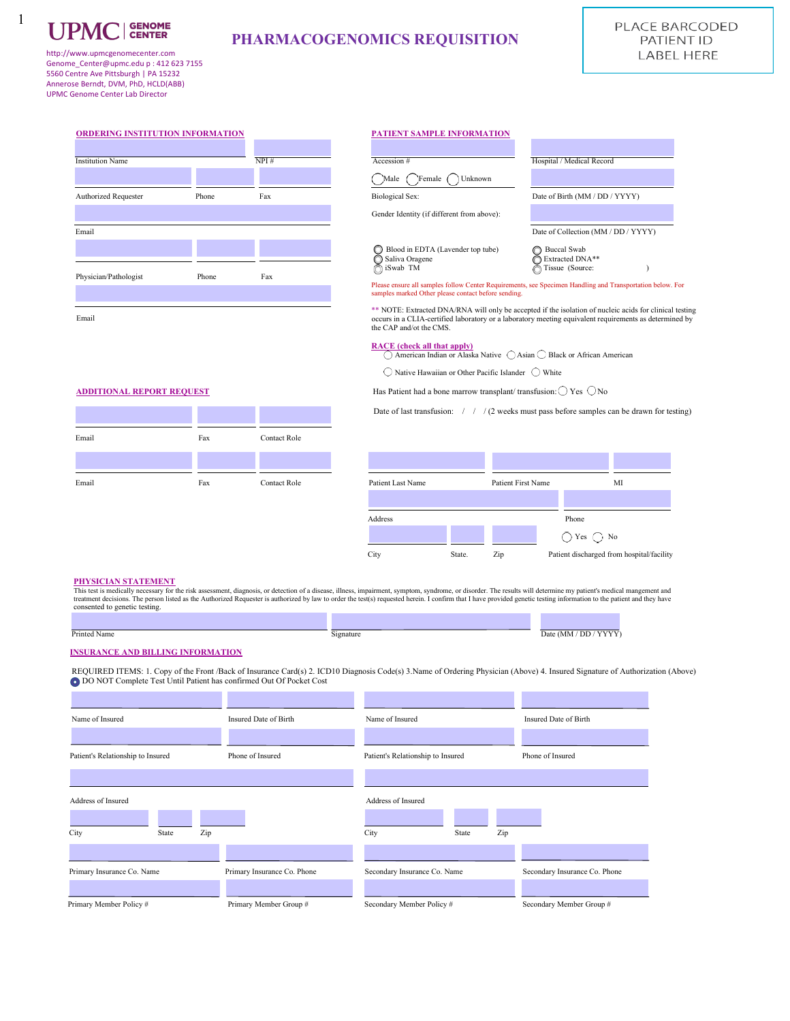

1

# **PHARMACOGENOMICS REQUISITION**

http://www.upmcgenomecenter.com Genome\_Center@upmc.edu p : 412 623 7155 5560 Centre Ave Pittsburgh | PA 15232 Annerose Berndt, DVM, PhD, HCLD(ABB) UPMC Genome Center Lab Director

| <b>ORDERING INSTITUTION INFORMATION</b> |       |      | <b>PATIENT SAMPLE INFORMATION</b>                                                                                                                            |                                                               |
|-----------------------------------------|-------|------|--------------------------------------------------------------------------------------------------------------------------------------------------------------|---------------------------------------------------------------|
| <b>Institution Name</b>                 |       | NPI# | Accession #                                                                                                                                                  | Hospital / Medical Record                                     |
|                                         |       |      | Female<br>Unknown<br>Male                                                                                                                                    |                                                               |
| <b>Authorized Requester</b>             | Phone | Fax  | <b>Biological Sex:</b>                                                                                                                                       | Date of Birth (MM / DD /                                      |
|                                         |       |      | Gender Identity (if different from above):                                                                                                                   |                                                               |
| Email                                   |       |      |                                                                                                                                                              | Date of Collection (MM /                                      |
|                                         |       |      | Blood in EDTA (Lavender top tube)<br>◯ Saliva Oragene<br>∩ iSwab TM                                                                                          | <b>Buccal Swab</b><br>∩<br>Extracted DNA**<br>Tissue (Source: |
| Physician/Pathologist                   | Phone | Fax  | Please ensure all samples follow Center Requirements, see Specimen Handling and T<br>samples marked Other please contact before sending.                     |                                                               |
| Email                                   |       |      | ** NOTE: Extracted DNA/RNA will only be accepted if the isolation of nucle<br>occurs in a CLIA-certified laboratory or a laboratory meeting equivalent requi |                                                               |

#### **PATIENT SAMPLE INFORMATION**

| <b>Institution Name</b>     |       | NPI# | Accession #                                | Hospital / Medical Record           |
|-----------------------------|-------|------|--------------------------------------------|-------------------------------------|
|                             |       |      | Female<br>Unknown<br>Male                  |                                     |
| <b>Authorized Requester</b> | Phone | Fax  | Biological Sex:                            | Date of Birth (MM / DD / YYYY)      |
|                             |       |      | Gender Identity (if different from above): |                                     |
| Email                       |       |      |                                            | Date of Collection (MM / DD / YYYY) |
|                             |       |      | Blood in EDTA (Lavender top tube)          | ◯ Buccal Swab                       |
|                             |       |      | Saliva Oragene<br>n iSwab TM               | Extracted DNA**<br>Tissue (Source:  |
| Physician/Pathologist       | Phone | Fav  |                                            |                                     |

Please ensure all samples follow Center Requirements, see Specimen Handling and Transportation below. For samples marked Other please contact before sending.

\*\* NOTE: Extracted DNA/RNA will only be accepted if the isolation of nucleic acids for clinical testing occurs in a CLIA-certified laboratory or a laboratory meeting equivalent requirements as determined by the CAP and/ot the CMS.

**RACE** (check all that apply)<br>  $\bigcirc$  American Indian or Alaska Native  $\bigcirc$  Asian  $\bigcirc$  Black or African American

 $\bigcirc$  Native Hawaiian or Other Pacific Islander  $\bigcirc$  White

**ADDITIONAL REPORT REQUEST** Has Patient had a bone marrow transplant/ transfusion:  $\bigcirc$  Yes  $\bigcirc$  No

Date of last transfusion: / / / (2 weeks must pass before samples can be drawn for testing)

| Email | Fax | <b>Contact Role</b> |
|-------|-----|---------------------|
|       |     |                     |
| Email | Fax | Contact Role        |

| Email | Fax | <b>Contact Role</b> | Patient Last Name |        | Patient First Name | MI                                        |
|-------|-----|---------------------|-------------------|--------|--------------------|-------------------------------------------|
|       |     |                     |                   |        |                    |                                           |
|       |     |                     | Address           |        |                    | Phone                                     |
|       |     |                     |                   |        |                    | $\bigcirc$ Yes $\bigcirc$ No              |
|       |     |                     | City              | State. | Zip                | Patient discharged from hospital/facility |

#### **PHYSICIAN STATEMENT**

This test is medically necessary for the risk assessment, diagnosis, or detection of a disease, illness, impairment, symptom, syndrome, or disorder. The results will determine my patient's medical mangement and<br>treatment d consented to genetic testing. المنابذ **Contract Contract** 

| Printeg<br>Nam | NIM<br>,,,<br>the contract of the contract of the contract of the contract of the contract of the contract of the contract of |
|----------------|-------------------------------------------------------------------------------------------------------------------------------|

#### **INSURANCE AND BILLING INFORMATION**

 REQUIRED ITEMS: 1. Copy of the Front /Back of Insurance Card(s) 2. ICD10 Diagnosis Code(s) 3.Name of Ordering Physician (Above) 4. Insured Signature of Authorization (Above) DO NOT Complete Test Until Patient has confirmed Out Of Pocket Cost

| Name of Insured                   |       |     | Insured Date of Birth       | Name of Insured                   |       |     | Insured Date of Birth         |
|-----------------------------------|-------|-----|-----------------------------|-----------------------------------|-------|-----|-------------------------------|
|                                   |       |     |                             |                                   |       |     |                               |
| Patient's Relationship to Insured |       |     | Phone of Insured            | Patient's Relationship to Insured |       |     | Phone of Insured              |
|                                   |       |     |                             |                                   |       |     |                               |
| Address of Insured                |       |     |                             | Address of Insured                |       |     |                               |
|                                   |       |     |                             |                                   |       |     |                               |
| City                              | State | Zip |                             | City                              | State | Zip |                               |
|                                   |       |     |                             |                                   |       |     |                               |
| Primary Insurance Co. Name        |       |     | Primary Insurance Co. Phone | Secondary Insurance Co. Name      |       |     | Secondary Insurance Co. Phone |
|                                   |       |     |                             |                                   |       |     |                               |
| Primary Member Policy#            |       |     | Primary Member Group #      | Secondary Member Policy#          |       |     | Secondary Member Group #      |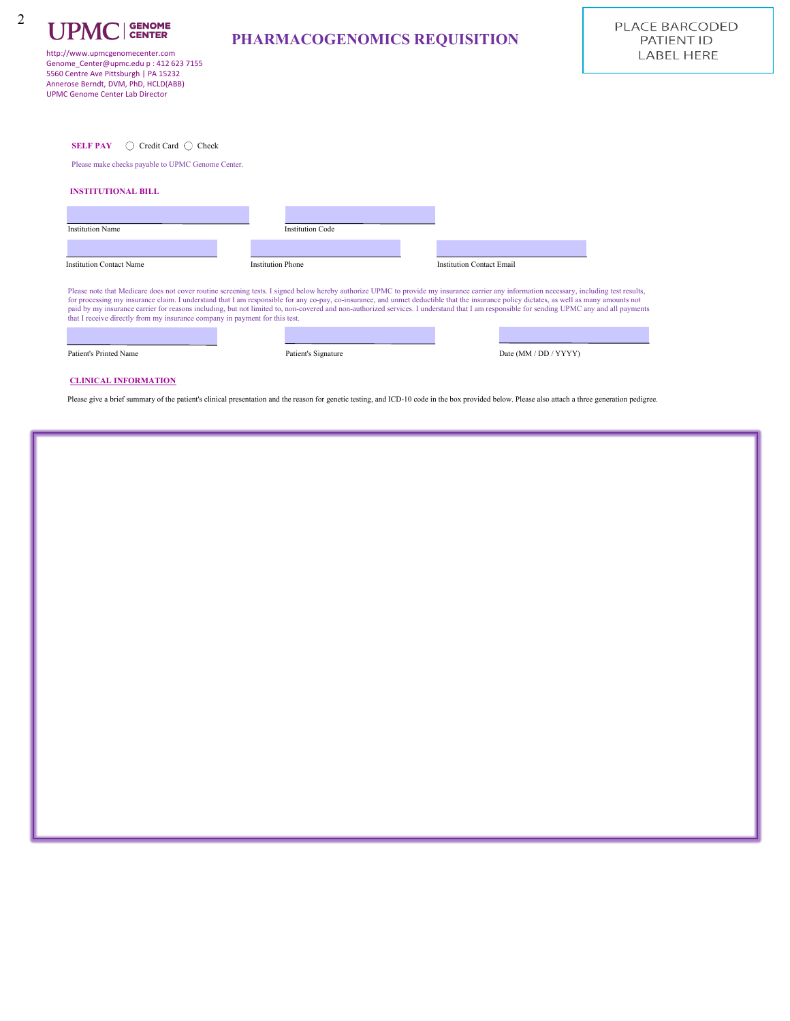| <b>UPMC</b>   GENOME |  |
|----------------------|--|
|                      |  |

2

http://www.upmcgenomecenter.com Genome\_Center@upmc.edu p : 412 623 7155 5560 Centre Ave Pittsburgh | PA 15232 Annerose Berndt, DVM, PhD, HCLD(ABB) UPMC Genome Center Lab Director

**SELF PAY** ○ Credit Card ○ Check

Please make checks payable to UPMC Genome Center.

| <b>Institution Name</b>                                                     | <b>Institution Code</b>  |                                                                                                                                                                                                                                                                                                                                                                                                                                                                                                                                                                                    |
|-----------------------------------------------------------------------------|--------------------------|------------------------------------------------------------------------------------------------------------------------------------------------------------------------------------------------------------------------------------------------------------------------------------------------------------------------------------------------------------------------------------------------------------------------------------------------------------------------------------------------------------------------------------------------------------------------------------|
|                                                                             |                          |                                                                                                                                                                                                                                                                                                                                                                                                                                                                                                                                                                                    |
| <b>Institution Contact Name</b>                                             | <b>Institution Phone</b> | <b>Institution Contact Email</b>                                                                                                                                                                                                                                                                                                                                                                                                                                                                                                                                                   |
| that I receive directly from my insurance company in payment for this test. |                          | Please note that Medicare does not cover routine screening tests. I signed below hereby authorize UPMC to provide my insurance carrier any information necessary, including test results,<br>for processing my insurance claim. I understand that I am responsible for any co-pay, co-insurance, and unmet deductible that the insurance policy dictates, as well as many amounts not<br>paid by my insurance carrier for reasons including, but not limited to, non-covered and non-authorized services. I understand that I am responsible for sending UPMC any and all payments |

Patient's Printed Name Patient's Signature Date (MM / DD / YYYY)

#### **CLINICAL INFORMATION**

Please give a brief summary of the patient's clinical presentation and the reason for genetic testing, and ICD-10 code in the box provided below. Please also attach a three generation pedigree.